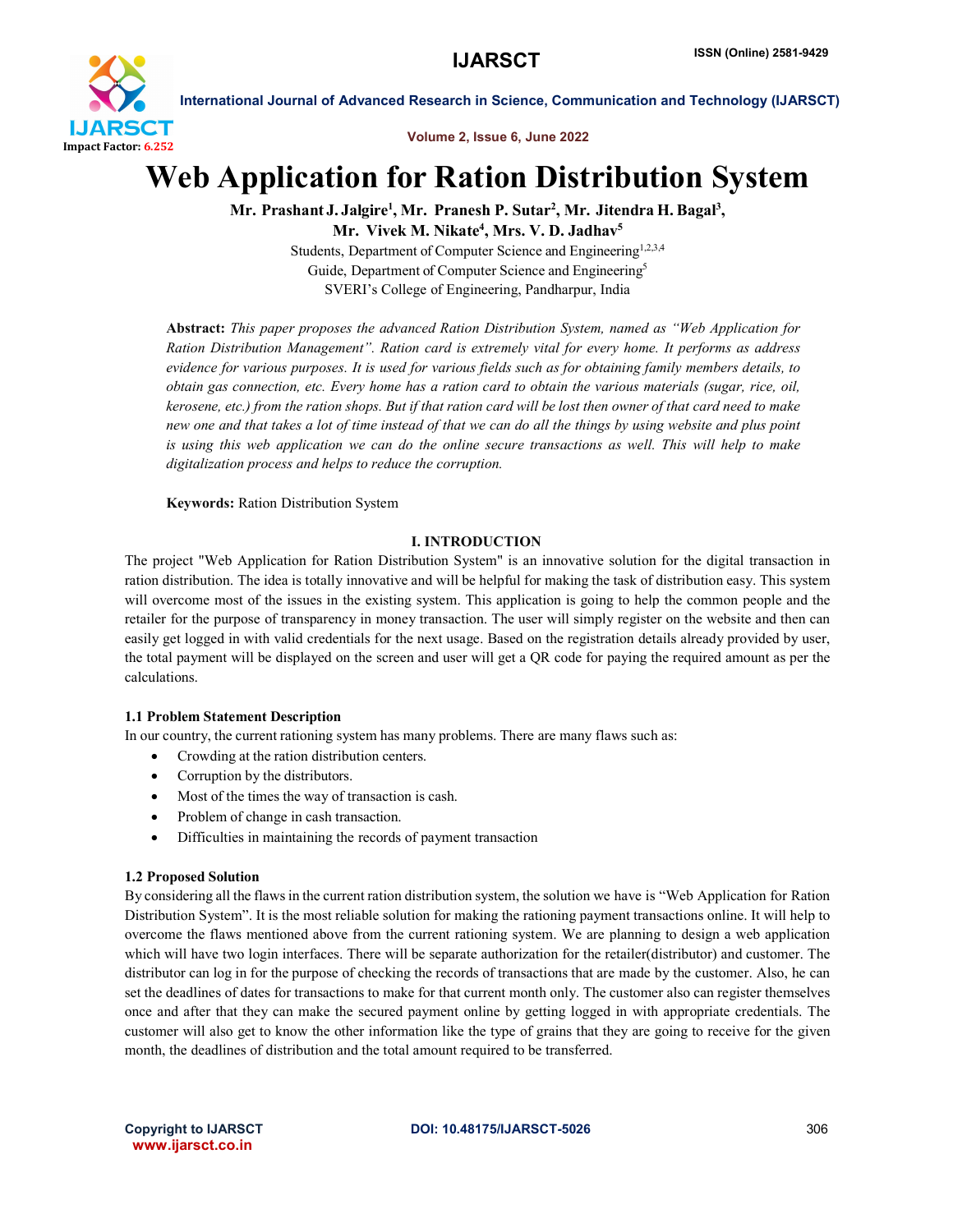

International Journal of Advanced Research in Science, Communication and Technology (IJARSCT)

Volume 2, Issue 6, June 2022

## Web Application for Ration Distribution System

Mr. Prashant J. Jalgire<sup>1</sup>, Mr. Pranesh P. Sutar<sup>2</sup>, Mr. Jitendra H. Bagal<sup>3</sup>,

Mr. Vivek M. Nikate<sup>4</sup>, Mrs. V. D. Jadhav<sup>5</sup>

Students, Department of Computer Science and Engineering<sup>1,2,3,4</sup> Guide, Department of Computer Science and Engineering<sup>5</sup> SVERI's College of Engineering, Pandharpur, India

Abstract: *This paper proposes the advanced Ration Distribution System, named as "Web Application for Ration Distribution Management". Ration card is extremely vital for every home. It performs as address evidence for various purposes. It is used for various fields such as for obtaining family members details, to obtain gas connection, etc. Every home has a ration card to obtain the various materials (sugar, rice, oil,*  kerosene, etc.) from the ration shops. But if that ration card will be lost then owner of that card need to make *new one and that takes a lot of time instead of that we can do all the things by using website and plus point is using this web application we can do the online secure transactions as well. This will help to make digitalization process and helps to reduce the corruption.*

Keywords: Ration Distribution System

## I. INTRODUCTION

The project "Web Application for Ration Distribution System" is an innovative solution for the digital transaction in ration distribution. The idea is totally innovative and will be helpful for making the task of distribution easy. This system will overcome most of the issues in the existing system. This application is going to help the common people and the retailer for the purpose of transparency in money transaction. The user will simply register on the website and then can easily get logged in with valid credentials for the next usage. Based on the registration details already provided by user, the total payment will be displayed on the screen and user will get a QR code for paying the required amount as per the calculations.

## 1.1 Problem Statement Description

In our country, the current rationing system has many problems. There are many flaws such as:

- Crowding at the ration distribution centers.
- Corruption by the distributors.
- Most of the times the way of transaction is cash.
- Problem of change in cash transaction.
- Difficulties in maintaining the records of payment transaction

## 1.2 Proposed Solution

By considering all the flawsin the current ration distribution system, the solution we have is "Web Application for Ration Distribution System". It is the most reliable solution for making the rationing payment transactions online. It will help to overcome the flaws mentioned above from the current rationing system. We are planning to design a web application which will have two login interfaces. There will be separate authorization for the retailer(distributor) and customer. The distributor can log in for the purpose of checking the records of transactions that are made by the customer. Also, he can set the deadlines of dates for transactions to make for that current month only. The customer also can register themselves once and after that they can make the secured payment online by getting logged in with appropriate credentials. The customer will also get to know the other information like the type of grains that they are going to receive for the given month, the deadlines of distribution and the total amount required to be transferred.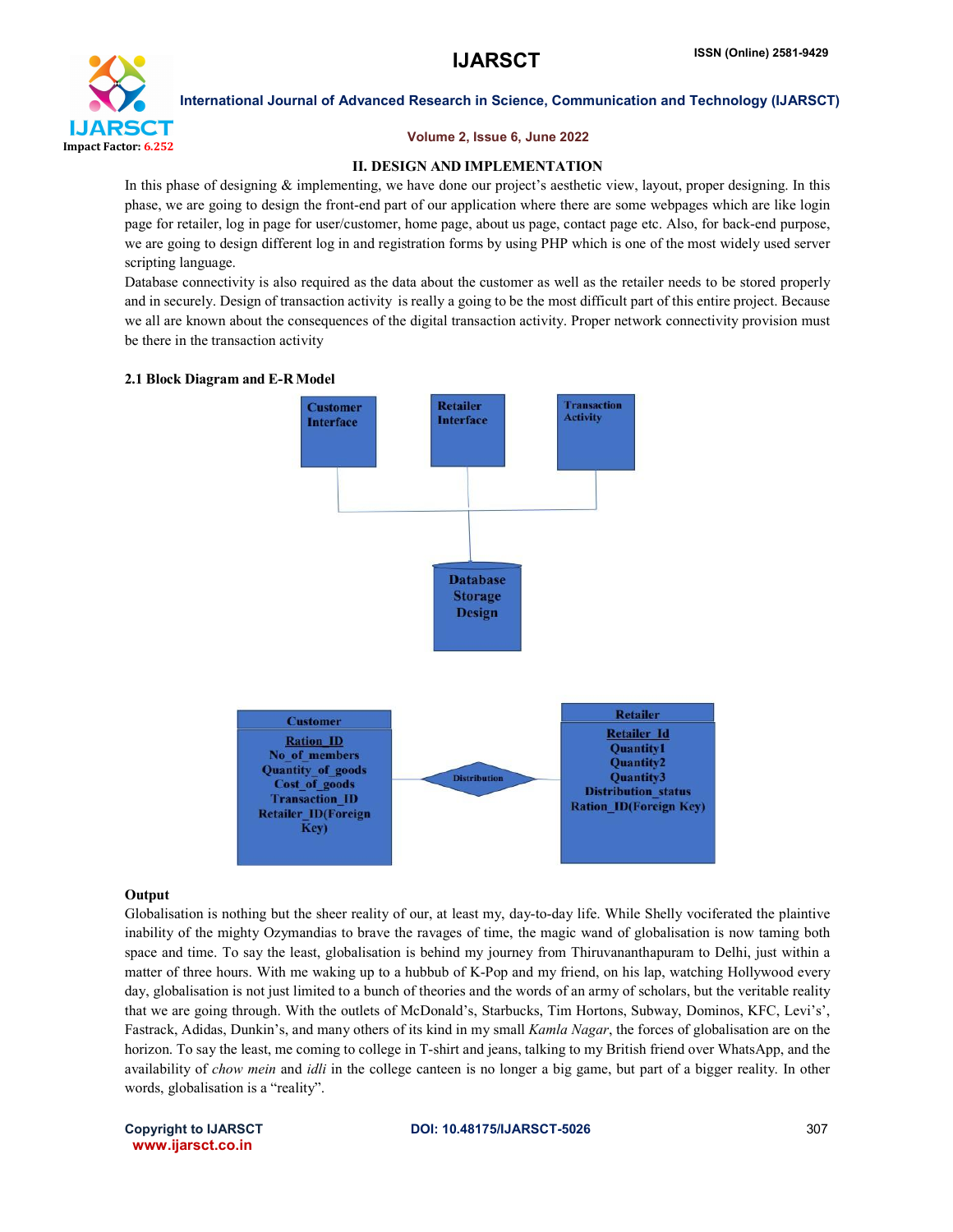

International Journal of Advanced Research in Science, Communication and Technology (IJARSCT)

## Volume 2, Issue 6, June 2022

## II. DESIGN AND IMPLEMENTATION

In this phase of designing & implementing, we have done our project's aesthetic view, layout, proper designing. In this phase, we are going to design the front-end part of our application where there are some webpages which are like login page for retailer, log in page for user/customer, home page, about us page, contact page etc. Also, for back-end purpose, we are going to design different log in and registration forms by using PHP which is one of the most widely used server scripting language.

Database connectivity is also required as the data about the customer as well as the retailer needs to be stored properly and in securely. Design of transaction activity is really a going to be the most difficult part of this entire project. Because we all are known about the consequences of the digital transaction activity. Proper network connectivity provision must be there in the transaction activity

#### 2.1 Block Diagram and E-RModel



## **Output**

Globalisation is nothing but the sheer reality of our, at least my, day-to-day life. While Shelly vociferated the plaintive inability of the mighty Ozymandias to brave the ravages of time, the magic wand of globalisation is now taming both space and time. To say the least, globalisation is behind my journey from Thiruvananthapuram to Delhi, just within a matter of three hours. With me waking up to a hubbub of K-Pop and my friend, on his lap, watching Hollywood every day, globalisation is not just limited to a bunch of theories and the words of an army of scholars, but the veritable reality that we are going through. With the outlets of McDonald's, Starbucks, Tim Hortons, Subway, Dominos, KFC, Levi's', Fastrack, Adidas, Dunkin's, and many others of its kind in my small *Kamla Nagar*, the forces of globalisation are on the horizon. To say the least, me coming to college in T-shirt and jeans, talking to my British friend over WhatsApp, and the availability of *chow mein* and *idli* in the college canteen is no longer a big game, but part of a bigger reality. In other words, globalisation is a "reality".

www.ijarsct.co.in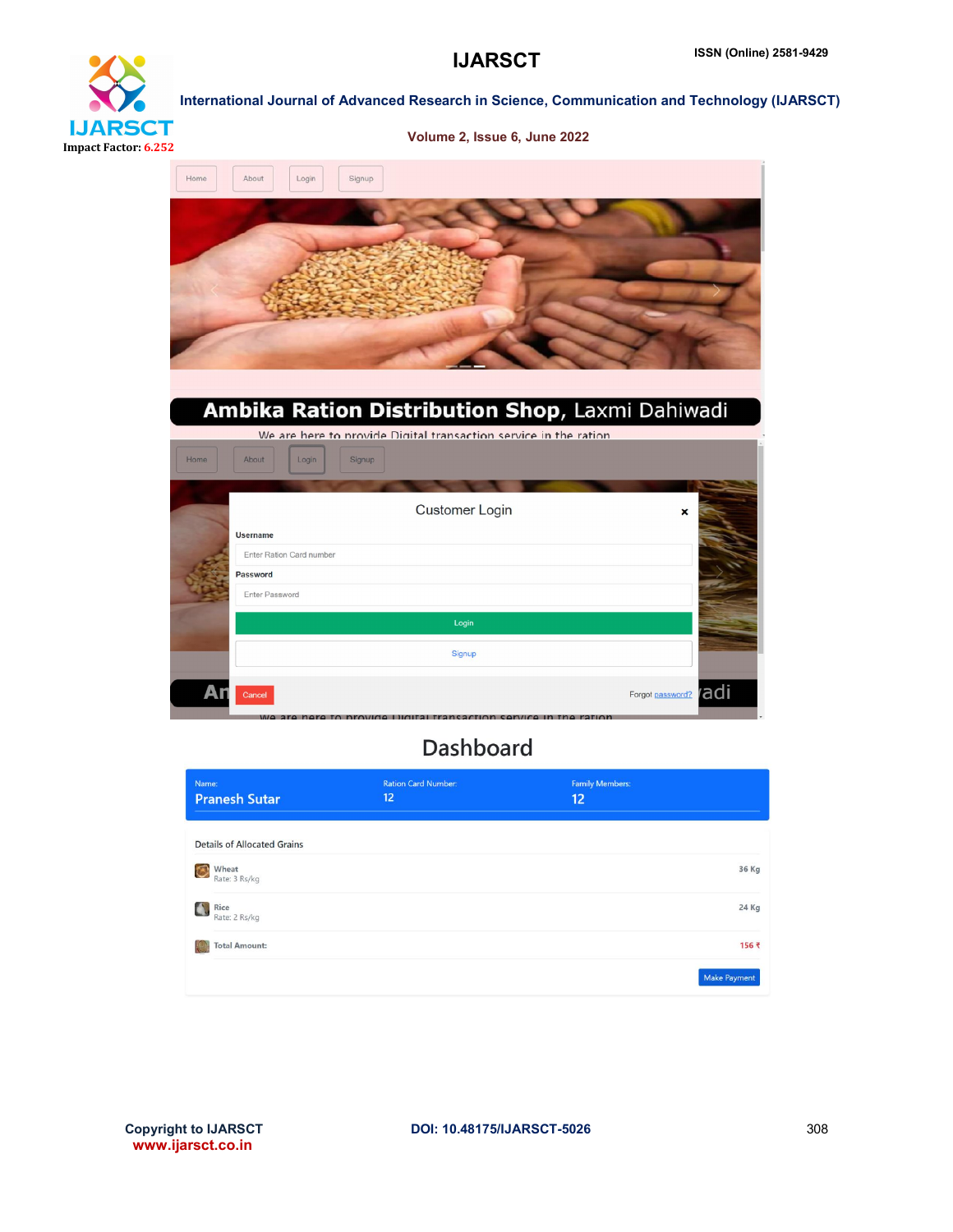# **IJARSCT** Impact Factor: 6.252

## International Journal of Advanced Research in Science, Communication and Technology (IJARSCT) Volume 2, Issue 6, June 2022



## Ambika Ration Distribution Shop, Laxmi Dahiwadi

| We are here to provide Digital transaction service in the ration |                          |                           |      |  |  |
|------------------------------------------------------------------|--------------------------|---------------------------|------|--|--|
| Home                                                             | About<br>Login<br>Signup |                           |      |  |  |
|                                                                  |                          |                           |      |  |  |
|                                                                  | <b>Customer Login</b>    | $\boldsymbol{\mathsf{x}}$ |      |  |  |
|                                                                  | <b>Username</b>          |                           |      |  |  |
|                                                                  | Enter Ration Card number |                           |      |  |  |
|                                                                  | Password                 |                           |      |  |  |
|                                                                  | Enter Password           |                           |      |  |  |
|                                                                  | Login                    |                           |      |  |  |
|                                                                  | Signup                   |                           |      |  |  |
|                                                                  |                          |                           |      |  |  |
| А                                                                | Cancel                   | Forgot password?          | radi |  |  |

## **Dashboard**

| Name:<br><b>Pranesh Sutar</b>            | <b>Ration Card Number:</b><br>12 | <b>Family Members:</b><br>12 |                     |
|------------------------------------------|----------------------------------|------------------------------|---------------------|
| <b>Details of Allocated Grains</b>       |                                  |                              |                     |
| Wheat<br>$\circledcirc$<br>Rate: 3 Rs/kg |                                  |                              | 36 Kg               |
| Rice<br>$\Delta$<br>Rate: 2 Rs/kg        |                                  |                              | 24 Kg               |
| <b>Total Amount:</b>                     |                                  |                              | 156 ₹               |
|                                          |                                  |                              | <b>Make Payment</b> |